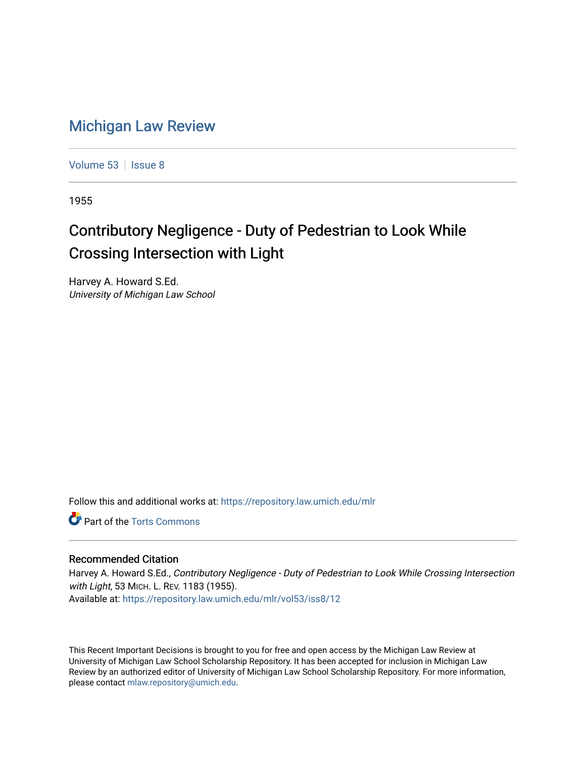## [Michigan Law Review](https://repository.law.umich.edu/mlr)

[Volume 53](https://repository.law.umich.edu/mlr/vol53) | [Issue 8](https://repository.law.umich.edu/mlr/vol53/iss8)

1955

## Contributory Negligence - Duty of Pedestrian to Look While Crossing Intersection with Light

Harvey A. Howard S.Ed. University of Michigan Law School

Follow this and additional works at: [https://repository.law.umich.edu/mlr](https://repository.law.umich.edu/mlr?utm_source=repository.law.umich.edu%2Fmlr%2Fvol53%2Fiss8%2F12&utm_medium=PDF&utm_campaign=PDFCoverPages) 

**C** Part of the [Torts Commons](http://network.bepress.com/hgg/discipline/913?utm_source=repository.law.umich.edu%2Fmlr%2Fvol53%2Fiss8%2F12&utm_medium=PDF&utm_campaign=PDFCoverPages)

## Recommended Citation

Harvey A. Howard S.Ed., Contributory Negligence - Duty of Pedestrian to Look While Crossing Intersection with Light, 53 MICH. L. REV. 1183 (1955). Available at: [https://repository.law.umich.edu/mlr/vol53/iss8/12](https://repository.law.umich.edu/mlr/vol53/iss8/12?utm_source=repository.law.umich.edu%2Fmlr%2Fvol53%2Fiss8%2F12&utm_medium=PDF&utm_campaign=PDFCoverPages) 

This Recent Important Decisions is brought to you for free and open access by the Michigan Law Review at University of Michigan Law School Scholarship Repository. It has been accepted for inclusion in Michigan Law Review by an authorized editor of University of Michigan Law School Scholarship Repository. For more information, please contact [mlaw.repository@umich.edu.](mailto:mlaw.repository@umich.edu)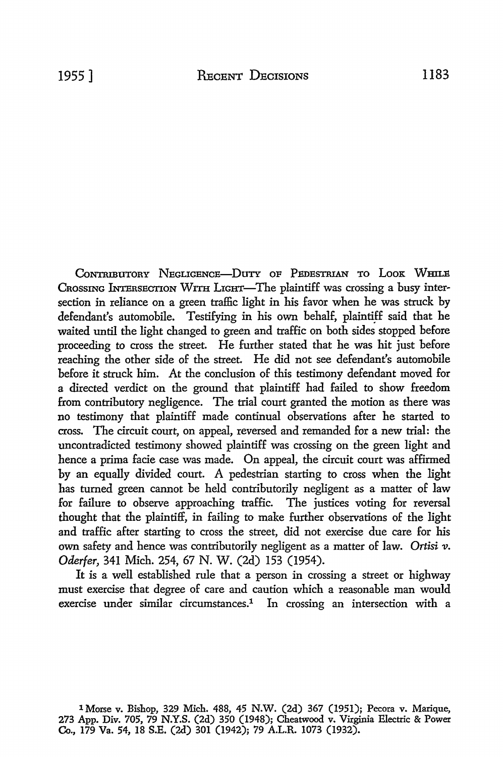CONTRIBUTORY NEGLIGENCE-DUTY OF PEDESTRIAN TO LOOK WHILE CROSSING INTERSECTION WITH LIGHT-The plaintiff was crossing a busy intersection in reliance on a green traffic light in his favor when he was struck by defendant's automobile. Testifying in his own behalf, plaintiff said that he waited until the light changed to green and traffic on both sides stopped before proceeding to cross the street. He further stated that he was hit just before reaching the other side of the street. He did not see defendant's automobile before it struck him. At the conclusion of this testimony defendant moved for a directed verdict on the ground that plaintiff had failed to show freedom from contributory negligence. The trial court granted the motion as there was no testimony that plaintiff made continual observations after he started to cross. The circuit court, on appeal, reversed and remanded for a new trial: the uncontradicted testimony showed plaintiff was crossing on the green light and hence a prima facie case was made. On appeal, the circuit court was affirmed by an equally divided court. A pedestrian starting to cross when the light has turned green cannot be held contributorily negligent as a matter of law for failure to observe approaching traffic. The justices voting for reversal thought that the plaintiff, in failing to make further observations of the light and traffic after starting to cross the street, did not exercise due care for his own safety and hence was contributorily negligent as a matter of law. *Ortisi v. Oderfer,* 341 Mich. 254, 67 N. W. (2d) 153 (1954).

It is a well established rule that a person in crossing a street or highway must exercise that degree of care and caution which a reasonable man would exercise under similar circumstances.<sup>1</sup> In crossing an intersection with a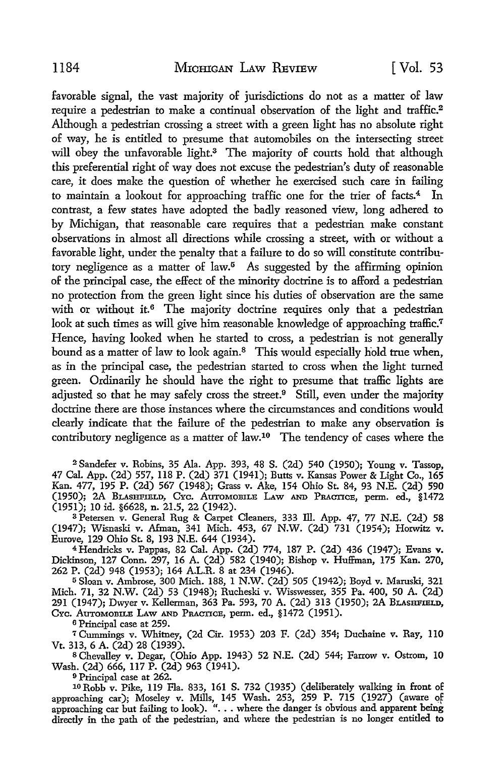favorable signal, the vast majority of jurisdictions do not as a matter of law require a pedestrian to make a continual observation of the light and traffic.<sup>2</sup> Although a pedestrian crossing a street with a green light has no absolute right of way, he is entitled to presume that automobiles on the intersecting street will obey the unfavorable light.<sup>3</sup> The majority of courts hold that although this preferential right of way does not excuse the pedestrian's duty of reasonable care, it does make the question of whether he exercised such care in failing to maintain a lookout for approaching traffic one for the trier of facts. $4$  In contrast, a few states have adopted the badly reasoned view, long adhered to by Michigan, that reasonable care requires that a pedestrian make constant observations in almost all directions while crossing a street, with or without a favorable light, under the penalty that a failure to do so will constitute contributory negligence as a matter of law.<sup>5</sup> As suggested by the affirming opinion of the principal case, the effect of the minority doctrine is to afford a pedestrian no protection from the green light since his duties of observation are the same with or without it.<sup> $6$ </sup> The majority doctrine requires only that a pedestrian look at such times as will give him reasonable knowledge of approaching traffic.<sup>7</sup> Hence, having looked when he started to cross, a pedestrian is not generally bound as a matter of law to look again.<sup>8</sup> This would especially hold true when, as in the principal case, the pedestrian started to cross when the light turned green. Ordinarily he should have the right to presume that traffic lights are adjusted so that he may safely cross the street.<sup>9</sup> Still, even under the majority doctrine there are those instances where the circumstances and conditions would clearly indicate that the failure of the pedestrian to make any observation is contributory negligence as a matter of law.10 The tendency of cases where the

<sup>2</sup>Sandefer v. Robins, 35 Ala. App. 393, 48 S. (2d) 540 (1950); Young v. Tassop, 47 Cal. App. (2d) 557, ll8 P. (2d) 371 (1941); Butts v. Kansas Power & Light Co., 165 Kan. 477, 195 P. (2d) 567 (1948); Grass v. Ake, 154 Ohio St. 84, 93 N.E. (2d) 590 (1950); 2A BLAsHFIELD, CYc. AuTOMOBILE LAW AND PRACTICE, perm. ed., §1472 (1951); 10 id. §6628, n. 21.5, 22 (1942).

<sup>3</sup>Petersen v. General Rug & Carpet Cleaners, 333 lli. App. 47, 77 N.E. (2d) 58 (1947); Wisnaski v. Afman, 341 Mich. 453, 67 N.W. (2d) 731 (1954); Horwitz v. Eurove, 129 Ohio St. 8, 193 N.E. 644 (1934).

<sup>4</sup>Hendricks v. Pappas, 82 Cal. App. (2d) 774, 187 P. (2d) 436 (1947); Evans v. Dickinson, 127 Conn. 297, 16 A. (2d) 582 (1940); Bishop v. Huffman, 175 Kan. 270, 262 P. (2d) 948 (1953); 164 A.L.R. 8 at 234 (1946).

<sup>5</sup>Sloan v. Ambrose, 300 Mich. 188, 1 N.W. (2d) 505 (1942); Boyd v. Maruski, 321 Mich. 71, 32 N.W. (2d) 53 (1948); Rucheski v. Wisswesser, 355 Pa. 400, 50 A. (2d) 291 (1947); Dwyer v. Kellerman, 363 Pa. 593, 70 A. (2d) 313 (1950); 2A BLASHFIELD, CYc. AUTOMOBILE LAW AND PRACTICE, perm. ed., §1472 (1951).

<sup>6</sup>Principal case at 259.

*<sup>1</sup>*Cummings v. Whitney, (2d Cir. 1953) 203 F. (2d) 354; Duchaine v. Ray, llO Vt. 313, 6 A. (2d) 28 (1939).<br><sup>8</sup> Chevalley v. Degar, (Ohio App. 1943) 52 N.E. (2d) 544; Farrow v. Ostrom, 10

Wash. (2d) 666, 117 P. (2d) 963 (1941).

<sup>9</sup> Principal case at 262.<br><sup>10</sup> Robb v. Pike, 119 Fla. 833, 161 S. 732 (1935) (deliberately walking in front of approaching car); Moseley v. Mills, 145 Wash. 253, 259 P. 715 (1927) (aware of<br>approaching car but failing to look). "... where the danger is obvious and apparent being directly in the path of the pedestrian, and where the pedestrian is no longer entitled to